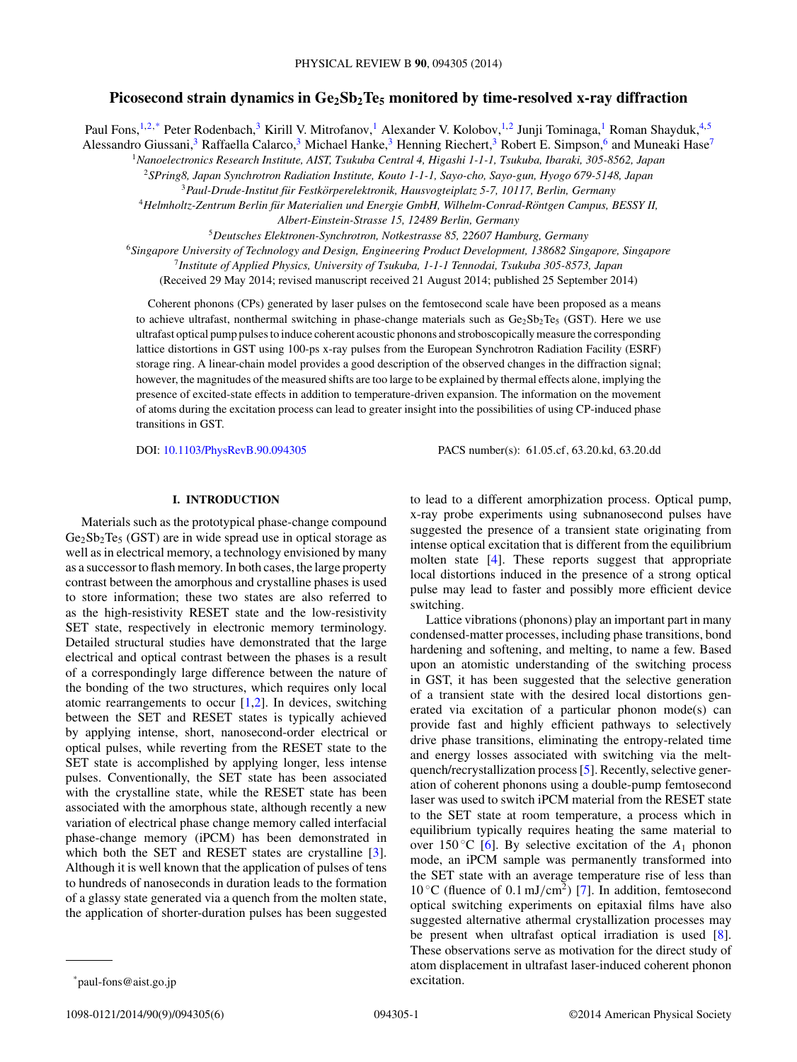# Picosecond strain dynamics in Ge<sub>2</sub>Sb<sub>2</sub>Te<sub>5</sub> monitored by time-resolved x-ray diffraction

Paul Fons,<sup>1,2,\*</sup> Peter Rodenbach,<sup>3</sup> Kirill V. Mitrofanov,<sup>1</sup> Alexander V. Kolobov,<sup>1,2</sup> Junji Tominaga,<sup>1</sup> Roman Shayduk,<sup>4,5</sup>

Alessandro Giussani,<sup>3</sup> Raffaella Calarco,<sup>3</sup> Michael Hanke,<sup>3</sup> Henning Riechert,<sup>3</sup> Robert E. Simpson,<sup>6</sup> and Muneaki Hase<sup>7</sup>

<sup>1</sup>*Nanoelectronics Research Institute, AIST, Tsukuba Central 4, Higashi 1-1-1, Tsukuba, Ibaraki, 305-8562, Japan*

<sup>2</sup>*SPring8, Japan Synchrotron Radiation Institute, Kouto 1-1-1, Sayo-cho, Sayo-gun, Hyogo 679-5148, Japan*

<sup>3</sup>*Paul-Drude-Institut fur Festk ¨ orperelektronik, Hausvogteiplatz 5-7, 10117, Berlin, Germany ¨*

<sup>4</sup>*Helmholtz-Zentrum Berlin fur Materialien und Energie GmbH, Wilhelm-Conrad-R ¨ ontgen Campus, BESSY II, ¨*

*Albert-Einstein-Strasse 15, 12489 Berlin, Germany*

<sup>5</sup>*Deutsches Elektronen-Synchrotron, Notkestrasse 85, 22607 Hamburg, Germany*

<sup>6</sup>*Singapore University of Technology and Design, Engineering Product Development, 138682 Singapore, Singapore*

<sup>7</sup>*Institute of Applied Physics, University of Tsukuba, 1-1-1 Tennodai, Tsukuba 305-8573, Japan*

(Received 29 May 2014; revised manuscript received 21 August 2014; published 25 September 2014)

Coherent phonons (CPs) generated by laser pulses on the femtosecond scale have been proposed as a means to achieve ultrafast, nonthermal switching in phase-change materials such as  $Ge_2Sb_2Te_5$  (GST). Here we use ultrafast optical pump pulses to induce coherent acoustic phonons and stroboscopically measure the corresponding lattice distortions in GST using 100-ps x-ray pulses from the European Synchrotron Radiation Facility (ESRF) storage ring. A linear-chain model provides a good description of the observed changes in the diffraction signal; however, the magnitudes of the measured shifts are too large to be explained by thermal effects alone, implying the presence of excited-state effects in addition to temperature-driven expansion. The information on the movement of atoms during the excitation process can lead to greater insight into the possibilities of using CP-induced phase transitions in GST.

DOI: [10.1103/PhysRevB.90.094305](http://dx.doi.org/10.1103/PhysRevB.90.094305) PACS number(s): 61*.*05*.*cf*,* 63*.*20*.*kd*,* 63*.*20*.*dd

# **I. INTRODUCTION**

Materials such as the prototypical phase-change compound  $Ge_2Sb_2Te_5$  (GST) are in wide spread use in optical storage as well as in electrical memory, a technology envisioned by many as a successor to flash memory. In both cases, the large property contrast between the amorphous and crystalline phases is used to store information; these two states are also referred to as the high-resistivity RESET state and the low-resistivity SET state, respectively in electronic memory terminology. Detailed structural studies have demonstrated that the large electrical and optical contrast between the phases is a result of a correspondingly large difference between the nature of the bonding of the two structures, which requires only local atomic rearrangements to occur  $[1,2]$ . In devices, switching between the SET and RESET states is typically achieved by applying intense, short, nanosecond-order electrical or optical pulses, while reverting from the RESET state to the SET state is accomplished by applying longer, less intense pulses. Conventionally, the SET state has been associated with the crystalline state, while the RESET state has been associated with the amorphous state, although recently a new variation of electrical phase change memory called interfacial phase-change memory (iPCM) has been demonstrated in which both the SET and RESET states are crystalline [\[3\]](#page-5-0). Although it is well known that the application of pulses of tens to hundreds of nanoseconds in duration leads to the formation of a glassy state generated via a quench from the molten state, the application of shorter-duration pulses has been suggested

to lead to a different amorphization process. Optical pump, x-ray probe experiments using subnanosecond pulses have suggested the presence of a transient state originating from intense optical excitation that is different from the equilibrium molten state [\[4\]](#page-5-0). These reports suggest that appropriate local distortions induced in the presence of a strong optical pulse may lead to faster and possibly more efficient device switching.

Lattice vibrations (phonons) play an important part in many condensed-matter processes, including phase transitions, bond hardening and softening, and melting, to name a few. Based upon an atomistic understanding of the switching process in GST, it has been suggested that the selective generation of a transient state with the desired local distortions generated via excitation of a particular phonon mode(s) can provide fast and highly efficient pathways to selectively drive phase transitions, eliminating the entropy-related time and energy losses associated with switching via the meltquench/recrystallization process [\[5\]](#page-5-0). Recently, selective generation of coherent phonons using a double-pump femtosecond laser was used to switch iPCM material from the RESET state to the SET state at room temperature, a process which in equilibrium typically requires heating the same material to over 150 °C [\[6\]](#page-5-0). By selective excitation of the  $A_1$  phonon mode, an iPCM sample was permanently transformed into the SET state with an average temperature rise of less than 10 ◦C (fluence of 0*.*1 mJ*/*cm2) [\[7\]](#page-5-0). In addition, femtosecond optical switching experiments on epitaxial films have also suggested alternative athermal crystallization processes may be present when ultrafast optical irradiation is used [\[8\]](#page-5-0). These observations serve as motivation for the direct study of atom displacement in ultrafast laser-induced coherent phonon excitation.

<sup>\*</sup>paul-fons@aist.go.jp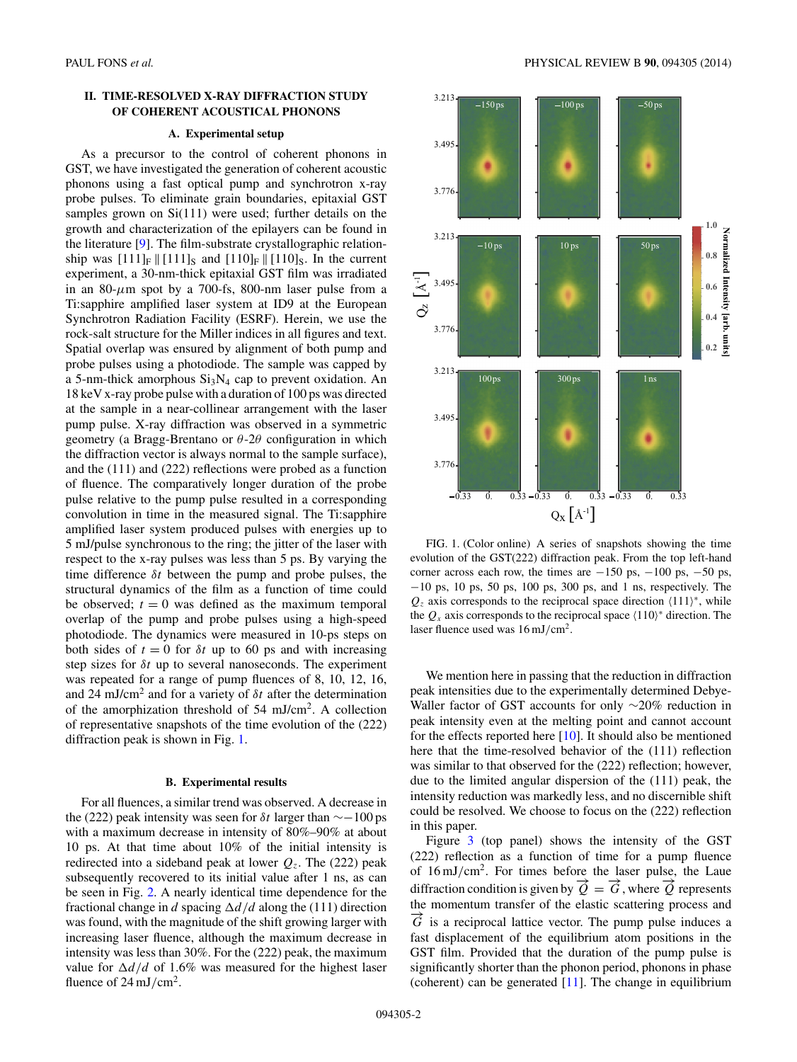# **II. TIME-RESOLVED X-RAY DIFFRACTION STUDY OF COHERENT ACOUSTICAL PHONONS**

#### **A. Experimental setup**

As a precursor to the control of coherent phonons in GST, we have investigated the generation of coherent acoustic phonons using a fast optical pump and synchrotron x-ray probe pulses. To eliminate grain boundaries, epitaxial GST samples grown on Si(111) were used; further details on the growth and characterization of the epilayers can be found in the literature [\[9\]](#page-5-0). The film-substrate crystallographic relationship was  $[111]_F \parallel [111]_S$  and  $[110]_F \parallel [110]_S$ . In the current experiment, a 30-nm-thick epitaxial GST film was irradiated in an 80- $\mu$ m spot by a 700-fs, 800-nm laser pulse from a Ti:sapphire amplified laser system at ID9 at the European Synchrotron Radiation Facility (ESRF). Herein, we use the rock-salt structure for the Miller indices in all figures and text. Spatial overlap was ensured by alignment of both pump and probe pulses using a photodiode. The sample was capped by a 5-nm-thick amorphous  $Si<sub>3</sub>N<sub>4</sub>$  cap to prevent oxidation. An 18 keV x-ray probe pulse with a duration of 100 ps was directed at the sample in a near-collinear arrangement with the laser pump pulse. X-ray diffraction was observed in a symmetric geometry (a Bragg-Brentano or *θ*-2*θ* configuration in which the diffraction vector is always normal to the sample surface), and the (111) and (222) reflections were probed as a function of fluence. The comparatively longer duration of the probe pulse relative to the pump pulse resulted in a corresponding convolution in time in the measured signal. The Ti:sapphire amplified laser system produced pulses with energies up to 5 mJ/pulse synchronous to the ring; the jitter of the laser with respect to the x-ray pulses was less than 5 ps. By varying the time difference *δt* between the pump and probe pulses, the structural dynamics of the film as a function of time could be observed;  $t = 0$  was defined as the maximum temporal overlap of the pump and probe pulses using a high-speed photodiode. The dynamics were measured in 10-ps steps on both sides of  $t = 0$  for  $\delta t$  up to 60 ps and with increasing step sizes for *δt* up to several nanoseconds. The experiment was repeated for a range of pump fluences of 8, 10, 12, 16, and 24 mJ/cm2 and for a variety of *δt* after the determination of the amorphization threshold of 54 mJ/cm2. A collection of representative snapshots of the time evolution of the (222) diffraction peak is shown in Fig. 1.

#### **B. Experimental results**

For all fluences, a similar trend was observed. A decrease in the (222) peak intensity was seen for *δt* larger than ∼−100 ps with a maximum decrease in intensity of 80%–90% at about 10 ps. At that time about 10% of the initial intensity is redirected into a sideband peak at lower  $Q<sub>z</sub>$ . The (222) peak subsequently recovered to its initial value after 1 ns, as can be seen in Fig. [2.](#page-2-0) A nearly identical time dependence for the fractional change in *d* spacing  $\Delta d/d$  along the (111) direction was found, with the magnitude of the shift growing larger with increasing laser fluence, although the maximum decrease in intensity was less than 30%. For the (222) peak, the maximum value for  $\Delta d/d$  of 1.6% was measured for the highest laser fluence of 24 mJ*/*cm2.



FIG. 1. (Color online) A series of snapshots showing the time evolution of the GST(222) diffraction peak. From the top left-hand corner across each row, the times are  $-150$  ps,  $-100$  ps,  $-50$  ps, −10 ps, 10 ps, 50 ps, 100 ps, 300 ps, and 1 ns, respectively. The  $Q<sub>z</sub>$  axis corresponds to the reciprocal space direction  $\langle 111 \rangle^*$ , while the  $Q_x$  axis corresponds to the reciprocal space  $\langle 110 \rangle^*$  direction. The laser fluence used was 16 mJ*/*cm2.

We mention here in passing that the reduction in diffraction peak intensities due to the experimentally determined Debye-Waller factor of GST accounts for only ∼20% reduction in peak intensity even at the melting point and cannot account for the effects reported here [\[10\]](#page-5-0). It should also be mentioned here that the time-resolved behavior of the (111) reflection was similar to that observed for the (222) reflection; however, due to the limited angular dispersion of the (111) peak, the intensity reduction was markedly less, and no discernible shift could be resolved. We choose to focus on the (222) reflection in this paper.

Figure [3](#page-2-0) (top panel) shows the intensity of the GST (222) reflection as a function of time for a pump fluence of 16 mJ*/*cm2. For times before the laser pulse, the Laue diffraction condition is given by  $\overline{Q} = \overline{G}$ , where  $\overline{Q}$  represents the momentum transfer of the elastic scattering process and  $\tilde{G}$  is a reciprocal lattice vector. The pump pulse induces a fast displacement of the equilibrium atom positions in the GST film. Provided that the duration of the pump pulse is significantly shorter than the phonon period, phonons in phase (coherent) can be generated  $[11]$ . The change in equilibrium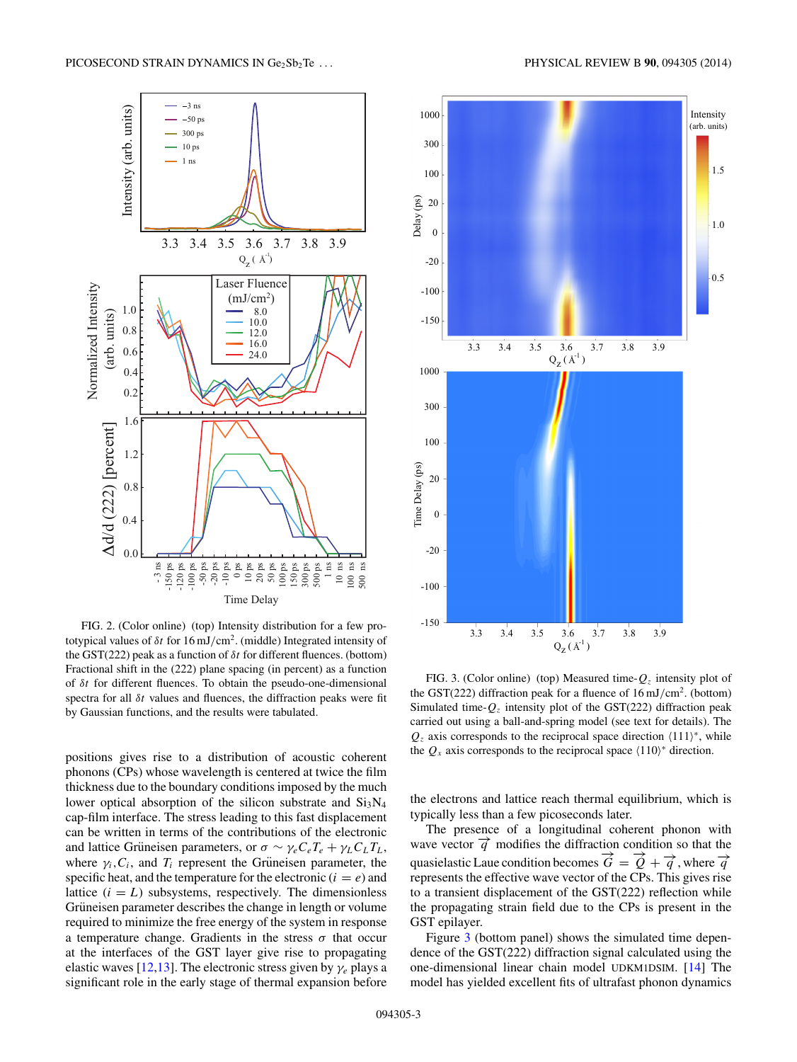<span id="page-2-0"></span>

FIG. 2. (Color online) (top) Intensity distribution for a few prototypical values of *δt* for 16 mJ*/*cm2. (middle) Integrated intensity of the GST(222) peak as a function of *δt* for different fluences. (bottom) Fractional shift in the (222) plane spacing (in percent) as a function of *δt* for different fluences. To obtain the pseudo-one-dimensional spectra for all *δt* values and fluences, the diffraction peaks were fit by Gaussian functions, and the results were tabulated.

positions gives rise to a distribution of acoustic coherent phonons (CPs) whose wavelength is centered at twice the film thickness due to the boundary conditions imposed by the much lower optical absorption of the silicon substrate and  $Si<sub>3</sub>N<sub>4</sub>$ cap-film interface. The stress leading to this fast displacement can be written in terms of the contributions of the electronic and lattice Grüneisen parameters, or  $\sigma \sim \gamma_e C_e T_e + \gamma_L C_L T_L$ , where  $\gamma_i$ ,  $C_i$ , and  $T_i$  represent the Grüneisen parameter, the specific heat, and the temperature for the electronic  $(i = e)$  and lattice  $(i = L)$  subsystems, respectively. The dimensionless Grüneisen parameter describes the change in length or volume required to minimize the free energy of the system in response a temperature change. Gradients in the stress  $\sigma$  that occur at the interfaces of the GST layer give rise to propagating elastic waves [\[12,13\]](#page-5-0). The electronic stress given by *γe* plays a significant role in the early stage of thermal expansion before



FIG. 3. (Color online) (top) Measured time- $Q<sub>z</sub>$  intensity plot of the GST(222) diffraction peak for a fluence of 16 mJ*/*cm2. (bottom) Simulated time- $Q_z$  intensity plot of the GST(222) diffraction peak carried out using a ball-and-spring model (see text for details). The  $Q<sub>z</sub>$  axis corresponds to the reciprocal space direction  $\langle 111 \rangle^*$ , while the  $Q_x$  axis corresponds to the reciprocal space  $\langle 110 \rangle^*$  direction.

the electrons and lattice reach thermal equilibrium, which is typically less than a few picoseconds later.

The presence of a longitudinal coherent phonon with wave vector  $\vec{q}$  modifies the diffraction condition so that the quasielastic Laue condition becomes  $\vec{G} = \vec{O} + \vec{q}$ , where  $\vec{q}$ represents the effective wave vector of the CPs. This gives rise to a transient displacement of the GST(222) reflection while the propagating strain field due to the CPs is present in the GST epilayer.

Figure 3 (bottom panel) shows the simulated time dependence of the GST(222) diffraction signal calculated using the one-dimensional linear chain model UDKM1DSIM. [\[14\]](#page-5-0) The model has yielded excellent fits of ultrafast phonon dynamics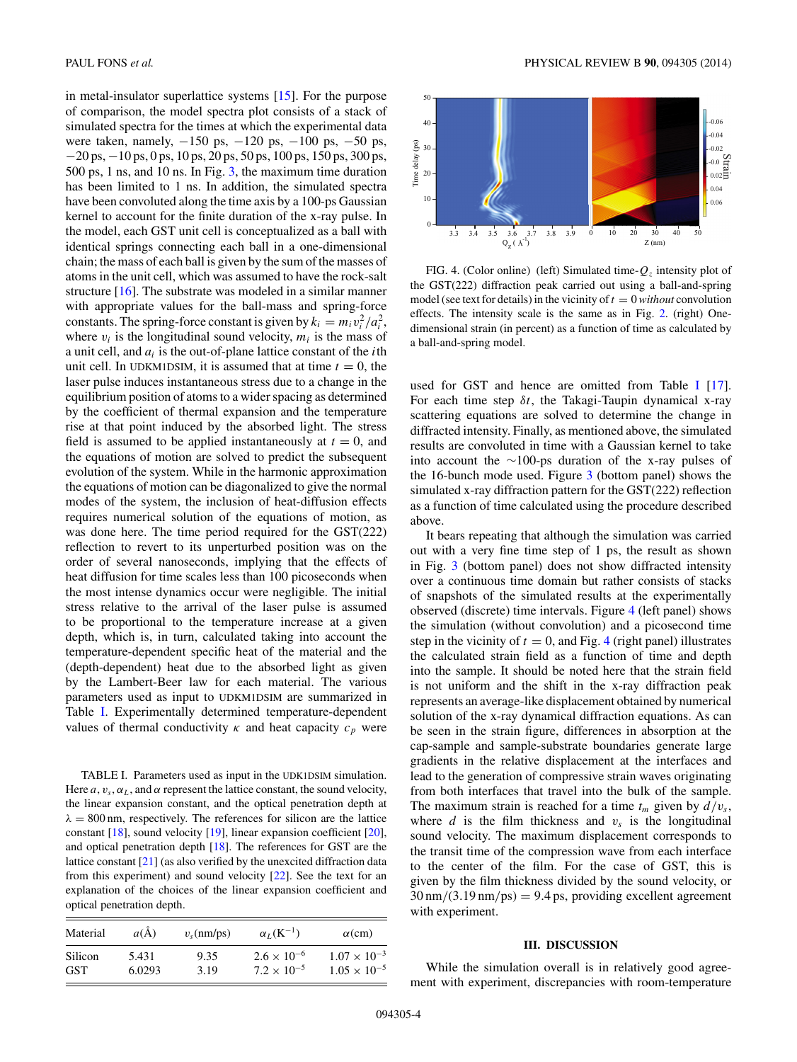<span id="page-3-0"></span>in metal-insulator superlattice systems [\[15\]](#page-5-0). For the purpose of comparison, the model spectra plot consists of a stack of simulated spectra for the times at which the experimental data were taken, namely, -150 ps, -120 ps, -100 ps, -50 ps, −20 ps, −10 ps, 0 ps, 10 ps, 20 ps, 50 ps, 100 ps, 150 ps, 300 ps, 500 ps, 1 ns, and 10 ns. In Fig. [3,](#page-2-0) the maximum time duration has been limited to 1 ns. In addition, the simulated spectra have been convoluted along the time axis by a 100-ps Gaussian kernel to account for the finite duration of the x-ray pulse. In the model, each GST unit cell is conceptualized as a ball with identical springs connecting each ball in a one-dimensional chain; the mass of each ball is given by the sum of the masses of atoms in the unit cell, which was assumed to have the rock-salt structure [\[16\]](#page-5-0). The substrate was modeled in a similar manner with appropriate values for the ball-mass and spring-force constants. The spring-force constant is given by  $k_i = m_i v_i^2 / a_i^2$ , where  $v_i$  is the longitudinal sound velocity,  $m_i$  is the mass of a unit cell, and *ai* is the out-of-plane lattice constant of the *i*th unit cell. In UDKM1DSIM, it is assumed that at time  $t = 0$ , the laser pulse induces instantaneous stress due to a change in the equilibrium position of atoms to a wider spacing as determined by the coefficient of thermal expansion and the temperature rise at that point induced by the absorbed light. The stress field is assumed to be applied instantaneously at  $t = 0$ , and the equations of motion are solved to predict the subsequent evolution of the system. While in the harmonic approximation the equations of motion can be diagonalized to give the normal modes of the system, the inclusion of heat-diffusion effects requires numerical solution of the equations of motion, as was done here. The time period required for the GST(222) reflection to revert to its unperturbed position was on the order of several nanoseconds, implying that the effects of heat diffusion for time scales less than 100 picoseconds when the most intense dynamics occur were negligible. The initial stress relative to the arrival of the laser pulse is assumed to be proportional to the temperature increase at a given depth, which is, in turn, calculated taking into account the temperature-dependent specific heat of the material and the (depth-dependent) heat due to the absorbed light as given by the Lambert-Beer law for each material. The various parameters used as input to UDKM1DSIM are summarized in Table I. Experimentally determined temperature-dependent values of thermal conductivity  $\kappa$  and heat capacity  $c_p$  were

TABLE I. Parameters used as input in the UDK1DSIM simulation. Here  $a$ ,  $v_s$ ,  $\alpha$ <sub>L</sub>, and  $\alpha$  represent the lattice constant, the sound velocity, the linear expansion constant, and the optical penetration depth at  $\lambda = 800$  nm, respectively. The references for silicon are the lattice constant [\[18\]](#page-5-0), sound velocity [\[19\]](#page-5-0), linear expansion coefficient [\[20\]](#page-5-0), and optical penetration depth [\[18\]](#page-5-0). The references for GST are the lattice constant [\[21\]](#page-5-0) (as also verified by the unexcited diffraction data from this experiment) and sound velocity [\[22\]](#page-5-0). See the text for an explanation of the choices of the linear expansion coefficient and optical penetration depth.

| Material   | $a(\AA)$ | $v_s$ (nm/ps) | $\alpha_I(K^{-1})$   | $\alpha$ (cm)         |
|------------|----------|---------------|----------------------|-----------------------|
| Silicon    | 5.431    | 9.35          | $2.6 \times 10^{-6}$ | $1.07 \times 10^{-3}$ |
| <b>GST</b> | 6.0293   | 3.19          | $7.2 \times 10^{-5}$ | $1.05 \times 10^{-5}$ |



FIG. 4. (Color online) (left) Simulated time- $Q_z$  intensity plot of the GST(222) diffraction peak carried out using a ball-and-spring model (see text for details) in the vicinity of  $t = 0$  without convolution effects. The intensity scale is the same as in Fig. [2.](#page-2-0) (right) Onedimensional strain (in percent) as a function of time as calculated by a ball-and-spring model.

used for GST and hence are omitted from Table I [\[17\]](#page-5-0). For each time step *δt*, the Takagi-Taupin dynamical x-ray scattering equations are solved to determine the change in diffracted intensity. Finally, as mentioned above, the simulated results are convoluted in time with a Gaussian kernel to take into account the ∼100-ps duration of the x-ray pulses of the 16-bunch mode used. Figure [3](#page-2-0) (bottom panel) shows the simulated x-ray diffraction pattern for the GST(222) reflection as a function of time calculated using the procedure described above.

It bears repeating that although the simulation was carried out with a very fine time step of 1 ps, the result as shown in Fig. [3](#page-2-0) (bottom panel) does not show diffracted intensity over a continuous time domain but rather consists of stacks of snapshots of the simulated results at the experimentally observed (discrete) time intervals. Figure 4 (left panel) shows the simulation (without convolution) and a picosecond time step in the vicinity of  $t = 0$ , and Fig. 4 (right panel) illustrates the calculated strain field as a function of time and depth into the sample. It should be noted here that the strain field is not uniform and the shift in the x-ray diffraction peak represents an average-like displacement obtained by numerical solution of the x-ray dynamical diffraction equations. As can be seen in the strain figure, differences in absorption at the cap-sample and sample-substrate boundaries generate large gradients in the relative displacement at the interfaces and lead to the generation of compressive strain waves originating from both interfaces that travel into the bulk of the sample. The maximum strain is reached for a time  $t_m$  given by  $d/v_s$ , where  $d$  is the film thickness and  $v<sub>s</sub>$  is the longitudinal sound velocity. The maximum displacement corresponds to the transit time of the compression wave from each interface to the center of the film. For the case of GST, this is given by the film thickness divided by the sound velocity, or 30 nm*/*(3*.*19 nm*/*ps) = 9*.*4 ps, providing excellent agreement with experiment.

## **III. DISCUSSION**

While the simulation overall is in relatively good agreement with experiment, discrepancies with room-temperature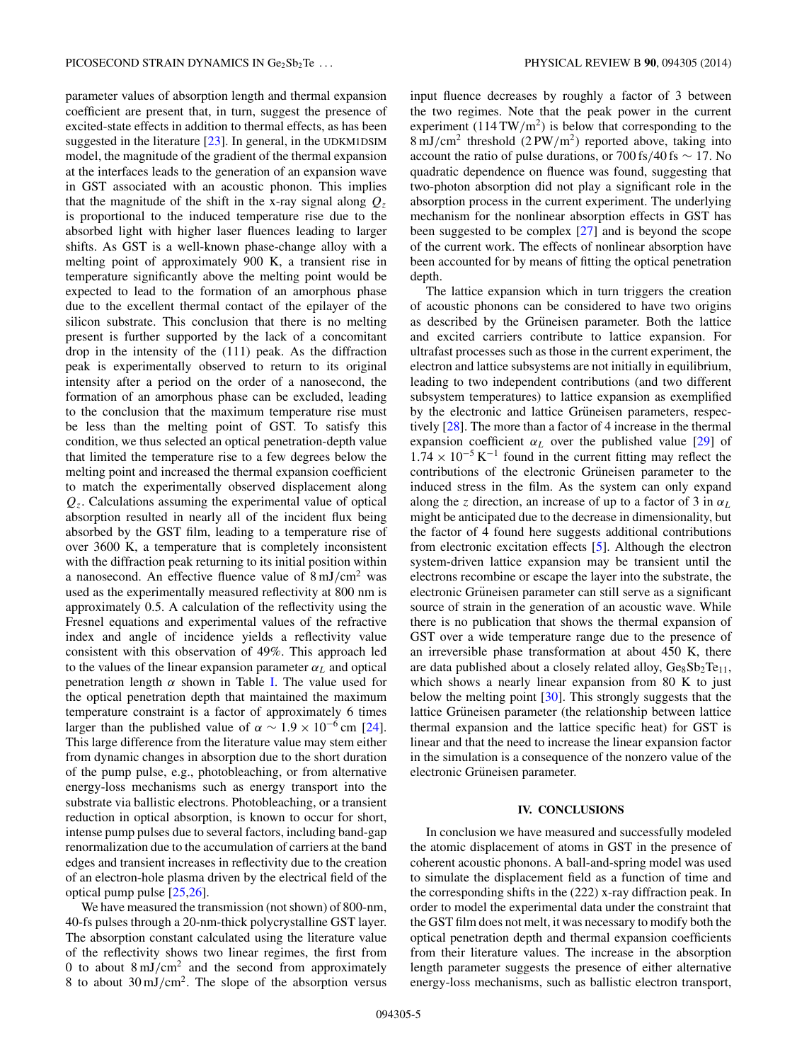parameter values of absorption length and thermal expansion coefficient are present that, in turn, suggest the presence of excited-state effects in addition to thermal effects, as has been suggested in the literature [\[23\]](#page-5-0). In general, in the UDKM1DSIM model, the magnitude of the gradient of the thermal expansion at the interfaces leads to the generation of an expansion wave in GST associated with an acoustic phonon. This implies that the magnitude of the shift in the x-ray signal along  $Q_z$ is proportional to the induced temperature rise due to the absorbed light with higher laser fluences leading to larger shifts. As GST is a well-known phase-change alloy with a melting point of approximately 900 K, a transient rise in temperature significantly above the melting point would be expected to lead to the formation of an amorphous phase due to the excellent thermal contact of the epilayer of the silicon substrate. This conclusion that there is no melting present is further supported by the lack of a concomitant drop in the intensity of the (111) peak. As the diffraction peak is experimentally observed to return to its original intensity after a period on the order of a nanosecond, the formation of an amorphous phase can be excluded, leading to the conclusion that the maximum temperature rise must be less than the melting point of GST. To satisfy this condition, we thus selected an optical penetration-depth value that limited the temperature rise to a few degrees below the melting point and increased the thermal expansion coefficient to match the experimentally observed displacement along *Qz*. Calculations assuming the experimental value of optical absorption resulted in nearly all of the incident flux being absorbed by the GST film, leading to a temperature rise of over 3600 K, a temperature that is completely inconsistent with the diffraction peak returning to its initial position within a nanosecond. An effective fluence value of 8 mJ*/*cm2 was used as the experimentally measured reflectivity at 800 nm is approximately 0.5. A calculation of the reflectivity using the Fresnel equations and experimental values of the refractive index and angle of incidence yields a reflectivity value consistent with this observation of 49%. This approach led to the values of the linear expansion parameter  $\alpha_L$  and optical penetration length  $\alpha$  shown in Table [I.](#page-3-0) The value used for the optical penetration depth that maintained the maximum temperature constraint is a factor of approximately 6 times larger than the published value of  $\alpha \sim 1.9 \times 10^{-6}$  cm [\[24\]](#page-5-0). This large difference from the literature value may stem either from dynamic changes in absorption due to the short duration of the pump pulse, e.g., photobleaching, or from alternative energy-loss mechanisms such as energy transport into the substrate via ballistic electrons. Photobleaching, or a transient reduction in optical absorption, is known to occur for short, intense pump pulses due to several factors, including band-gap renormalization due to the accumulation of carriers at the band edges and transient increases in reflectivity due to the creation of an electron-hole plasma driven by the electrical field of the optical pump pulse [\[25,26\]](#page-5-0).

We have measured the transmission (not shown) of 800-nm, 40-fs pulses through a 20-nm-thick polycrystalline GST layer. The absorption constant calculated using the literature value of the reflectivity shows two linear regimes, the first from 0 to about 8 mJ*/*cm2 and the second from approximately 8 to about 30 mJ*/*cm2. The slope of the absorption versus input fluence decreases by roughly a factor of 3 between the two regimes. Note that the peak power in the current experiment  $(114 \text{TW/m}^2)$  is below that corresponding to the 8 mJ*/*cm2 threshold (2 PW*/*m2) reported above, taking into account the ratio of pulse durations, or 700 fs*/*40 fs ∼ 17. No quadratic dependence on fluence was found, suggesting that two-photon absorption did not play a significant role in the absorption process in the current experiment. The underlying mechanism for the nonlinear absorption effects in GST has been suggested to be complex [\[27\]](#page-5-0) and is beyond the scope of the current work. The effects of nonlinear absorption have been accounted for by means of fitting the optical penetration depth.

The lattice expansion which in turn triggers the creation of acoustic phonons can be considered to have two origins as described by the Grüneisen parameter. Both the lattice and excited carriers contribute to lattice expansion. For ultrafast processes such as those in the current experiment, the electron and lattice subsystems are not initially in equilibrium, leading to two independent contributions (and two different subsystem temperatures) to lattice expansion as exemplified by the electronic and lattice Grüneisen parameters, respectively [\[28\]](#page-5-0). The more than a factor of 4 increase in the thermal expansion coefficient  $\alpha_L$  over the published value [\[29\]](#page-5-0) of  $1.74 \times 10^{-5}$  K<sup>-1</sup> found in the current fitting may reflect the contributions of the electronic Grüneisen parameter to the induced stress in the film. As the system can only expand along the *z* direction, an increase of up to a factor of 3 in  $\alpha_L$ might be anticipated due to the decrease in dimensionality, but the factor of 4 found here suggests additional contributions from electronic excitation effects [\[5\]](#page-5-0). Although the electron system-driven lattice expansion may be transient until the electrons recombine or escape the layer into the substrate, the electronic Grüneisen parameter can still serve as a significant source of strain in the generation of an acoustic wave. While there is no publication that shows the thermal expansion of GST over a wide temperature range due to the presence of an irreversible phase transformation at about 450 K, there are data published about a closely related alloy,  $Ge_8Sb_2Te_{11}$ , which shows a nearly linear expansion from 80 K to just below the melting point [\[30\]](#page-5-0). This strongly suggests that the lattice Grüneisen parameter (the relationship between lattice thermal expansion and the lattice specific heat) for GST is linear and that the need to increase the linear expansion factor in the simulation is a consequence of the nonzero value of the electronic Grüneisen parameter.

### **IV. CONCLUSIONS**

In conclusion we have measured and successfully modeled the atomic displacement of atoms in GST in the presence of coherent acoustic phonons. A ball-and-spring model was used to simulate the displacement field as a function of time and the corresponding shifts in the (222) x-ray diffraction peak. In order to model the experimental data under the constraint that the GST film does not melt, it was necessary to modify both the optical penetration depth and thermal expansion coefficients from their literature values. The increase in the absorption length parameter suggests the presence of either alternative energy-loss mechanisms, such as ballistic electron transport,